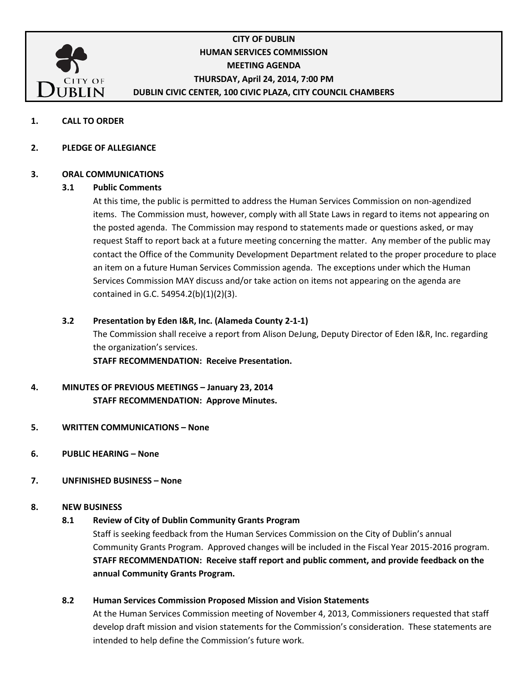

## **CITY OF DUBLIN HUMAN SERVICES COMMISSION MEETING AGENDA THURSDAY, April 24, 2014, 7:00 PM DUBLIN CIVIC CENTER, 100 CIVIC PLAZA, CITY COUNCIL CHAMBERS**

- **1. CALL TO ORDER**
- **2. PLEDGE OF ALLEGIANCE**

#### **3. ORAL COMMUNICATIONS**

#### **3.1 Public Comments**

At this time, the public is permitted to address the Human Services Commission on non-agendized items. The Commission must, however, comply with all State Laws in regard to items not appearing on the posted agenda. The Commission may respond to statements made or questions asked, or may request Staff to report back at a future meeting concerning the matter. Any member of the public may contact the Office of the Community Development Department related to the proper procedure to place an item on a future Human Services Commission agenda. The exceptions under which the Human Services Commission MAY discuss and/or take action on items not appearing on the agenda are contained in G.C. 54954.2(b)(1)(2)(3).

#### **3.2 Presentation by Eden I&R, Inc. (Alameda County 2-1-1)**

The Commission shall receive a report from Alison DeJung, Deputy Director of Eden I&R, Inc. regarding the organization's services.

**STAFF RECOMMENDATION: Receive Presentation.**

### **4. MINUTES OF PREVIOUS MEETINGS – January 23, 2014 STAFF RECOMMENDATION: Approve Minutes.**

- **5. WRITTEN COMMUNICATIONS – None**
- **6. PUBLIC HEARING – None**

#### **7. UNFINISHED BUSINESS – None**

#### **8. NEW BUSINESS**

#### **8.1 Review of City of Dublin Community Grants Program**

Staff is seeking feedback from the Human Services Commission on the City of Dublin's annual Community Grants Program. Approved changes will be included in the Fiscal Year 2015-2016 program. **STAFF RECOMMENDATION: Receive staff report and public comment, and provide feedback on the annual Community Grants Program.**

#### **8.2 Human Services Commission Proposed Mission and Vision Statements**

At the Human Services Commission meeting of November 4, 2013, Commissioners requested that staff develop draft mission and vision statements for the Commission's consideration. These statements are intended to help define the Commission's future work.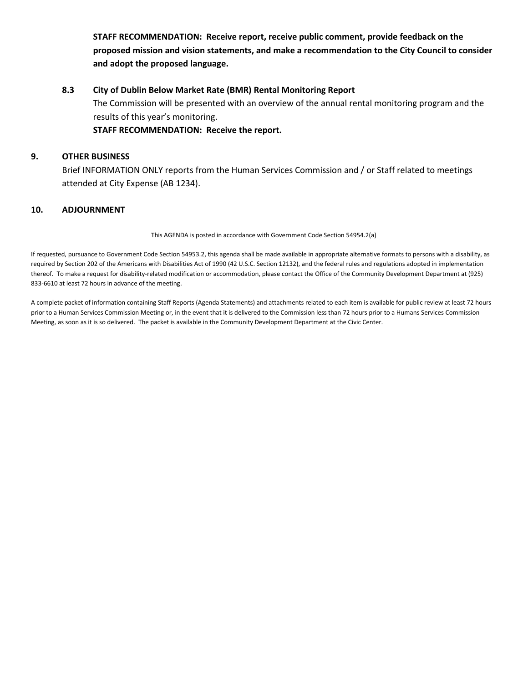**STAFF RECOMMENDATION: Receive report, receive public comment, provide feedback on the proposed mission and vision statements, and make a recommendation to the City Council to consider and adopt the proposed language.**

#### **8.3 City of Dublin Below Market Rate (BMR) Rental Monitoring Report**

The Commission will be presented with an overview of the annual rental monitoring program and the results of this year's monitoring.

**STAFF RECOMMENDATION: Receive the report.**

#### **9. OTHER BUSINESS**

Brief INFORMATION ONLY reports from the Human Services Commission and / or Staff related to meetings attended at City Expense (AB 1234).

#### **10. ADJOURNMENT**

This AGENDA is posted in accordance with Government Code Section 54954.2(a)

If requested, pursuance to Government Code Section 54953.2, this agenda shall be made available in appropriate alternative formats to persons with a disability, as required by Section 202 of the Americans with Disabilities Act of 1990 (42 U.S.C. Section 12132), and the federal rules and regulations adopted in implementation thereof. To make a request for disability-related modification or accommodation, please contact the Office of the Community Development Department at (925) 833-6610 at least 72 hours in advance of the meeting.

A complete packet of information containing Staff Reports (Agenda Statements) and attachments related to each item is available for public review at least 72 hours prior to a Human Services Commission Meeting or, in the event that it is delivered to the Commission less than 72 hours prior to a Humans Services Commission Meeting, as soon as it is so delivered. The packet is available in the Community Development Department at the Civic Center.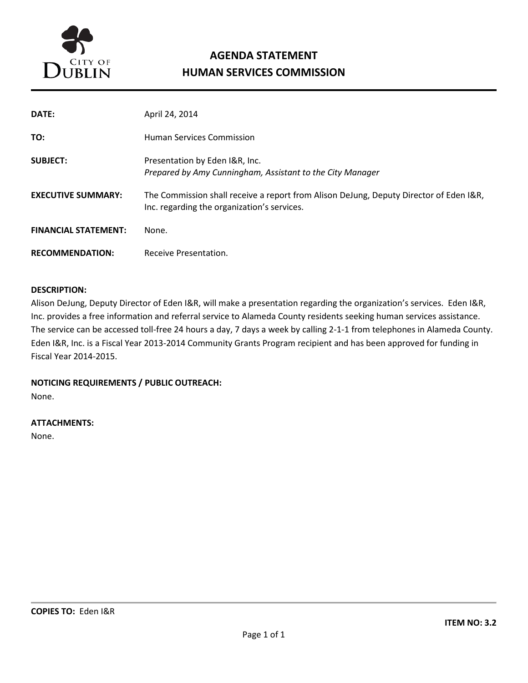

# **AGENDA STATEMENT HUMAN SERVICES COMMISSION**

| DATE:                       | April 24, 2014                                                                                                                        |
|-----------------------------|---------------------------------------------------------------------------------------------------------------------------------------|
| TO:                         | <b>Human Services Commission</b>                                                                                                      |
| <b>SUBJECT:</b>             | Presentation by Eden I&R, Inc.<br>Prepared by Amy Cunningham, Assistant to the City Manager                                           |
| <b>EXECUTIVE SUMMARY:</b>   | The Commission shall receive a report from Alison DeJung, Deputy Director of Eden I&R,<br>Inc. regarding the organization's services. |
| <b>FINANCIAL STATEMENT:</b> | None.                                                                                                                                 |
| <b>RECOMMENDATION:</b>      | Receive Presentation.                                                                                                                 |

#### **DESCRIPTION:**

Alison DeJung, Deputy Director of Eden I&R, will make a presentation regarding the organization's services. Eden I&R, Inc. provides a free information and referral service to Alameda County residents seeking human services assistance. The service can be accessed toll-free 24 hours a day, 7 days a week by calling 2-1-1 from telephones in Alameda County. Eden I&R, Inc. is a Fiscal Year 2013-2014 Community Grants Program recipient and has been approved for funding in Fiscal Year 2014-2015.

## **NOTICING REQUIREMENTS / PUBLIC OUTREACH:**

None.

#### **ATTACHMENTS:**

None.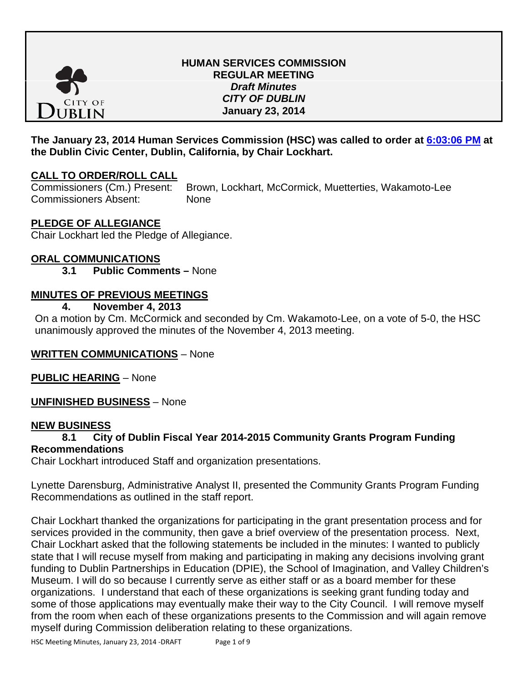

## **HUMAN SERVICES COMMISSION REGULAR MEETING** *Draft Minutes CITY OF DUBLIN* **January 23, 2014**

## **The January 23, 2014 Human Services Commission (HSC) was called to order at [6:03:06 PM](ftr://?location="Human Services Commission"?date="23-Jan-2014"?position="18:03:06"?Data="14864d2f") at the Dublin Civic Center, Dublin, California, by Chair Lockhart.**

## **CALL TO ORDER/ROLL CALL**

Commissioners (Cm.) Present: Brown, Lockhart, McCormick, Muetterties, Wakamoto-Lee Commissioners Absent: None

## **PLEDGE OF ALLEGIANCE**

Chair Lockhart led the Pledge of Allegiance.

# **ORAL COMMUNICATIONS**

**3.1 Public Comments –** None

## **MINUTES OF PREVIOUS MEETINGS**

**4. November 4, 2013**

On a motion by Cm. McCormick and seconded by Cm. Wakamoto-Lee, on a vote of 5-0, the HSC unanimously approved the minutes of the November 4, 2013 meeting.

## **WRITTEN COMMUNICATIONS** – None

**PUBLIC HEARING** – None

**UNFINISHED BUSINESS** – None

#### **NEW BUSINESS**

## **8.1 City of Dublin Fiscal Year 2014-2015 Community Grants Program Funding Recommendations**

Chair Lockhart introduced Staff and organization presentations.

Lynette Darensburg, Administrative Analyst II, presented the Community Grants Program Funding Recommendations as outlined in the staff report.

Chair Lockhart thanked the organizations for participating in the grant presentation process and for services provided in the community, then gave a brief overview of the presentation process. Next, Chair Lockhart asked that the following statements be included in the minutes: I wanted to publicly state that I will recuse myself from making and participating in making any decisions involving grant funding to Dublin Partnerships in Education (DPIE), the School of Imagination, and Valley Children's Museum. I will do so because I currently serve as either staff or as a board member for these organizations. I understand that each of these organizations is seeking grant funding today and some of those applications may eventually make their way to the City Council. I will remove myself from the room when each of these organizations presents to the Commission and will again remove myself during Commission deliberation relating to these organizations.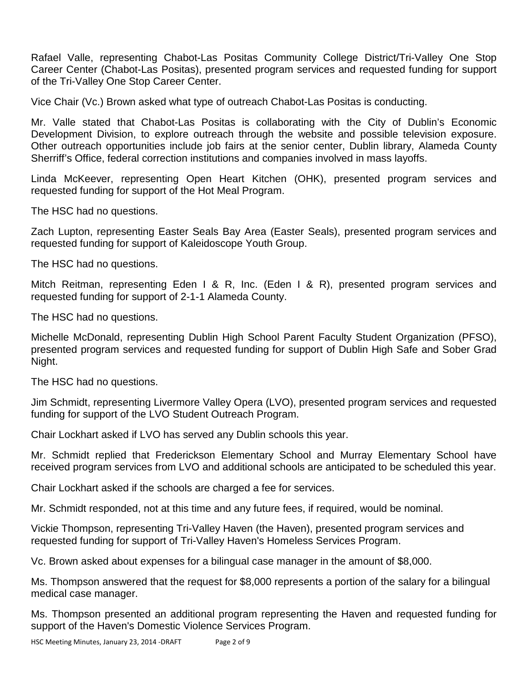Rafael Valle, representing Chabot-Las Positas Community College District/Tri-Valley One Stop Career Center (Chabot-Las Positas), presented program services and requested funding for support of the Tri-Valley One Stop Career Center.

Vice Chair (Vc.) Brown asked what type of outreach Chabot-Las Positas is conducting.

Mr. Valle stated that Chabot-Las Positas is collaborating with the City of Dublin's Economic Development Division, to explore outreach through the website and possible television exposure. Other outreach opportunities include job fairs at the senior center, Dublin library, Alameda County Sherriff's Office, federal correction institutions and companies involved in mass layoffs.

Linda McKeever, representing Open Heart Kitchen (OHK), presented program services and requested funding for support of the Hot Meal Program.

The HSC had no questions.

Zach Lupton, representing Easter Seals Bay Area (Easter Seals), presented program services and requested funding for support of Kaleidoscope Youth Group.

The HSC had no questions.

Mitch Reitman, representing Eden I & R, Inc. (Eden I & R), presented program services and requested funding for support of 2-1-1 Alameda County.

The HSC had no questions.

Michelle McDonald, representing Dublin High School Parent Faculty Student Organization (PFSO), presented program services and requested funding for support of Dublin High Safe and Sober Grad Night.

The HSC had no questions.

Jim Schmidt, representing Livermore Valley Opera (LVO), presented program services and requested funding for support of the LVO Student Outreach Program.

Chair Lockhart asked if LVO has served any Dublin schools this year.

Mr. Schmidt replied that Frederickson Elementary School and Murray Elementary School have received program services from LVO and additional schools are anticipated to be scheduled this year.

Chair Lockhart asked if the schools are charged a fee for services.

Mr. Schmidt responded, not at this time and any future fees, if required, would be nominal.

Vickie Thompson, representing Tri-Valley Haven (the Haven), presented program services and requested funding for support of Tri-Valley Haven's Homeless Services Program.

Vc. Brown asked about expenses for a bilingual case manager in the amount of \$8,000.

Ms. Thompson answered that the request for \$8,000 represents a portion of the salary for a bilingual medical case manager.

Ms. Thompson presented an additional program representing the Haven and requested funding for support of the Haven's Domestic Violence Services Program.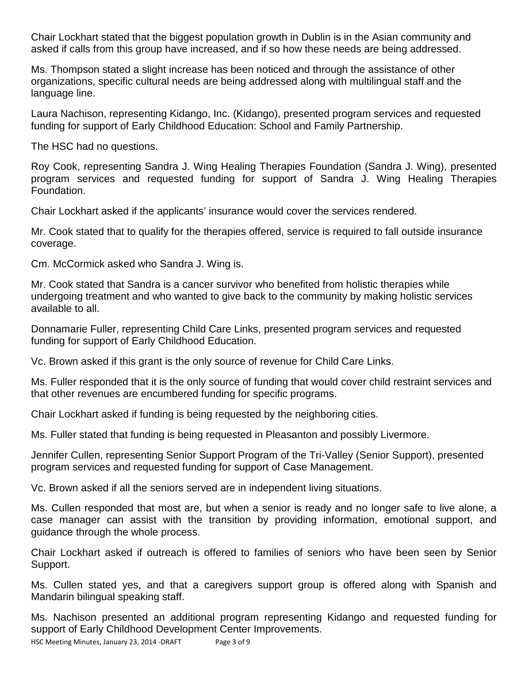Chair Lockhart stated that the biggest population growth in Dublin is in the Asian community and asked if calls from this group have increased, and if so how these needs are being addressed.

Ms. Thompson stated a slight increase has been noticed and through the assistance of other organizations, specific cultural needs are being addressed along with multilingual staff and the language line.

Laura Nachison, representing Kidango, Inc. (Kidango), presented program services and requested funding for support of Early Childhood Education: School and Family Partnership.

The HSC had no questions.

Roy Cook, representing Sandra J. Wing Healing Therapies Foundation (Sandra J. Wing), presented program services and requested funding for support of Sandra J. Wing Healing Therapies Foundation.

Chair Lockhart asked if the applicants' insurance would cover the services rendered.

Mr. Cook stated that to qualify for the therapies offered, service is required to fall outside insurance coverage.

Cm. McCormick asked who Sandra J. Wing is.

Mr. Cook stated that Sandra is a cancer survivor who benefited from holistic therapies while undergoing treatment and who wanted to give back to the community by making holistic services available to all.

Donnamarie Fuller, representing Child Care Links, presented program services and requested funding for support of Early Childhood Education.

Vc. Brown asked if this grant is the only source of revenue for Child Care Links.

Ms. Fuller responded that it is the only source of funding that would cover child restraint services and that other revenues are encumbered funding for specific programs.

Chair Lockhart asked if funding is being requested by the neighboring cities.

Ms. Fuller stated that funding is being requested in Pleasanton and possibly Livermore.

Jennifer Cullen, representing Senior Support Program of the Tri-Valley (Senior Support), presented program services and requested funding for support of Case Management.

Vc. Brown asked if all the seniors served are in independent living situations.

Ms. Cullen responded that most are, but when a senior is ready and no longer safe to live alone, a case manager can assist with the transition by providing information, emotional support, and guidance through the whole process.

Chair Lockhart asked if outreach is offered to families of seniors who have been seen by Senior Support.

Ms. Cullen stated yes, and that a caregivers support group is offered along with Spanish and Mandarin bilingual speaking staff.

Ms. Nachison presented an additional program representing Kidango and requested funding for support of Early Childhood Development Center Improvements.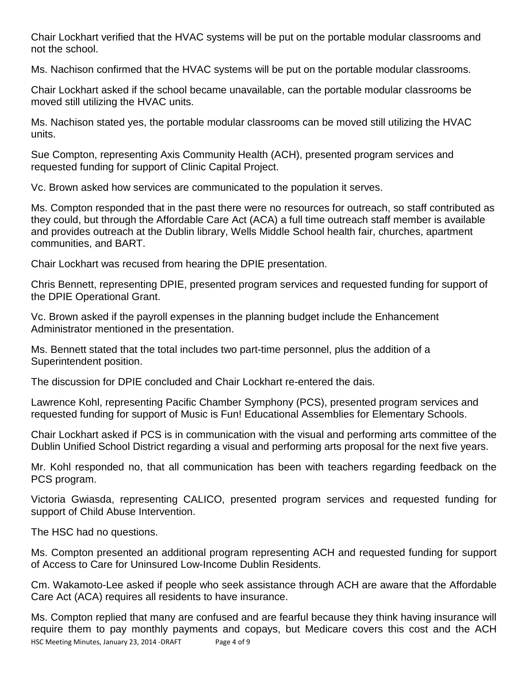Chair Lockhart verified that the HVAC systems will be put on the portable modular classrooms and not the school.

Ms. Nachison confirmed that the HVAC systems will be put on the portable modular classrooms.

Chair Lockhart asked if the school became unavailable, can the portable modular classrooms be moved still utilizing the HVAC units.

Ms. Nachison stated yes, the portable modular classrooms can be moved still utilizing the HVAC units.

Sue Compton, representing Axis Community Health (ACH), presented program services and requested funding for support of Clinic Capital Project.

Vc. Brown asked how services are communicated to the population it serves.

Ms. Compton responded that in the past there were no resources for outreach, so staff contributed as they could, but through the Affordable Care Act (ACA) a full time outreach staff member is available and provides outreach at the Dublin library, Wells Middle School health fair, churches, apartment communities, and BART.

Chair Lockhart was recused from hearing the DPIE presentation.

Chris Bennett, representing DPIE, presented program services and requested funding for support of the DPIE Operational Grant.

Vc. Brown asked if the payroll expenses in the planning budget include the Enhancement Administrator mentioned in the presentation.

Ms. Bennett stated that the total includes two part-time personnel, plus the addition of a Superintendent position.

The discussion for DPIE concluded and Chair Lockhart re-entered the dais.

Lawrence Kohl, representing Pacific Chamber Symphony (PCS), presented program services and requested funding for support of Music is Fun! Educational Assemblies for Elementary Schools.

Chair Lockhart asked if PCS is in communication with the visual and performing arts committee of the Dublin Unified School District regarding a visual and performing arts proposal for the next five years.

Mr. Kohl responded no, that all communication has been with teachers regarding feedback on the PCS program.

Victoria Gwiasda, representing CALICO, presented program services and requested funding for support of Child Abuse Intervention.

The HSC had no questions.

Ms. Compton presented an additional program representing ACH and requested funding for support of Access to Care for Uninsured Low-Income Dublin Residents.

Cm. Wakamoto-Lee asked if people who seek assistance through ACH are aware that the Affordable Care Act (ACA) requires all residents to have insurance.

HSC Meeting Minutes, January 23, 2014 -DRAFT Page 4 of 9 Ms. Compton replied that many are confused and are fearful because they think having insurance will require them to pay monthly payments and copays, but Medicare covers this cost and the ACH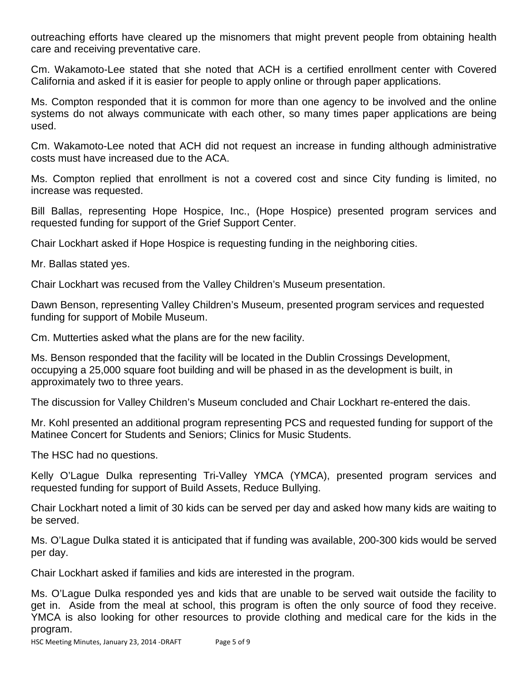outreaching efforts have cleared up the misnomers that might prevent people from obtaining health care and receiving preventative care.

Cm. Wakamoto-Lee stated that she noted that ACH is a certified enrollment center with Covered California and asked if it is easier for people to apply online or through paper applications.

Ms. Compton responded that it is common for more than one agency to be involved and the online systems do not always communicate with each other, so many times paper applications are being used.

Cm. Wakamoto-Lee noted that ACH did not request an increase in funding although administrative costs must have increased due to the ACA.

Ms. Compton replied that enrollment is not a covered cost and since City funding is limited, no increase was requested.

Bill Ballas, representing Hope Hospice, Inc., (Hope Hospice) presented program services and requested funding for support of the Grief Support Center.

Chair Lockhart asked if Hope Hospice is requesting funding in the neighboring cities.

Mr. Ballas stated yes.

Chair Lockhart was recused from the Valley Children's Museum presentation.

Dawn Benson, representing Valley Children's Museum, presented program services and requested funding for support of Mobile Museum.

Cm. Mutterties asked what the plans are for the new facility.

Ms. Benson responded that the facility will be located in the Dublin Crossings Development, occupying a 25,000 square foot building and will be phased in as the development is built, in approximately two to three years.

The discussion for Valley Children's Museum concluded and Chair Lockhart re-entered the dais.

Mr. Kohl presented an additional program representing PCS and requested funding for support of the Matinee Concert for Students and Seniors; Clinics for Music Students.

The HSC had no questions.

Kelly O'Lague Dulka representing Tri-Valley YMCA (YMCA), presented program services and requested funding for support of Build Assets, Reduce Bullying.

Chair Lockhart noted a limit of 30 kids can be served per day and asked how many kids are waiting to be served.

Ms. O'Lague Dulka stated it is anticipated that if funding was available, 200-300 kids would be served per day.

Chair Lockhart asked if families and kids are interested in the program.

Ms. O'Lague Dulka responded yes and kids that are unable to be served wait outside the facility to get in. Aside from the meal at school, this program is often the only source of food they receive. YMCA is also looking for other resources to provide clothing and medical care for the kids in the program.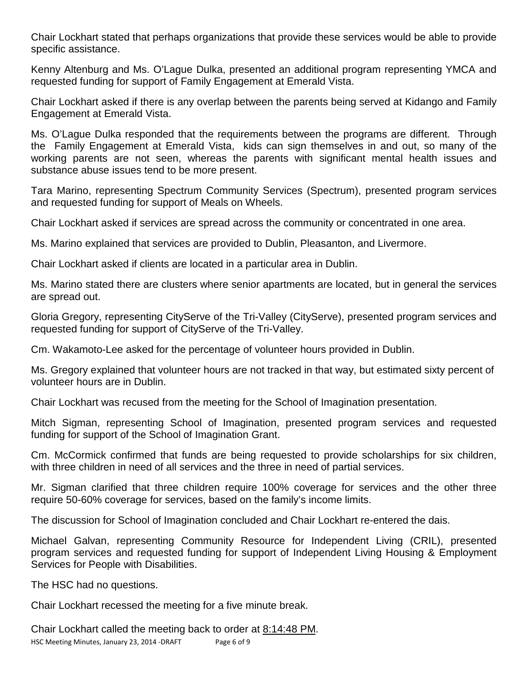Chair Lockhart stated that perhaps organizations that provide these services would be able to provide specific assistance.

Kenny Altenburg and Ms. O'Lague Dulka, presented an additional program representing YMCA and requested funding for support of Family Engagement at Emerald Vista.

Chair Lockhart asked if there is any overlap between the parents being served at Kidango and Family Engagement at Emerald Vista.

Ms. O'Lague Dulka responded that the requirements between the programs are different. Through the Family Engagement at Emerald Vista, kids can sign themselves in and out, so many of the working parents are not seen, whereas the parents with significant mental health issues and substance abuse issues tend to be more present.

Tara Marino, representing Spectrum Community Services (Spectrum), presented program services and requested funding for support of Meals on Wheels.

Chair Lockhart asked if services are spread across the community or concentrated in one area.

Ms. Marino explained that services are provided to Dublin, Pleasanton, and Livermore.

Chair Lockhart asked if clients are located in a particular area in Dublin.

Ms. Marino stated there are clusters where senior apartments are located, but in general the services are spread out.

Gloria Gregory, representing CityServe of the Tri-Valley (CityServe), presented program services and requested funding for support of CityServe of the Tri-Valley.

Cm. Wakamoto-Lee asked for the percentage of volunteer hours provided in Dublin.

Ms. Gregory explained that volunteer hours are not tracked in that way, but estimated sixty percent of volunteer hours are in Dublin.

Chair Lockhart was recused from the meeting for the School of Imagination presentation.

Mitch Sigman, representing School of Imagination, presented program services and requested funding for support of the School of Imagination Grant.

Cm. McCormick confirmed that funds are being requested to provide scholarships for six children, with three children in need of all services and the three in need of partial services.

Mr. Sigman clarified that three children require 100% coverage for services and the other three require 50-60% coverage for services, based on the family's income limits.

The discussion for School of Imagination concluded and Chair Lockhart re-entered the dais.

Michael Galvan, representing Community Resource for Independent Living (CRIL), presented program services and requested funding for support of Independent Living Housing & Employment Services for People with Disabilities.

The HSC had no questions.

Chair Lockhart recessed the meeting for a five minute break.

HSC Meeting Minutes, January 23, 2014 -DRAFT Page 6 of 9 Chair Lockhart called the meeting back to order at 8:14:48 PM.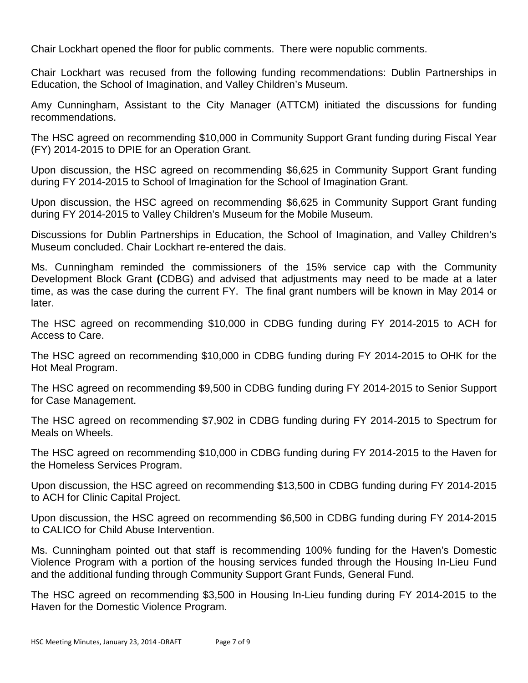Chair Lockhart opened the floor for public comments. There were nopublic comments.

Chair Lockhart was recused from the following funding recommendations: Dublin Partnerships in Education, the School of Imagination, and Valley Children's Museum.

Amy Cunningham, Assistant to the City Manager (ATTCM) initiated the discussions for funding recommendations.

The HSC agreed on recommending \$10,000 in Community Support Grant funding during Fiscal Year (FY) 2014-2015 to DPIE for an Operation Grant.

Upon discussion, the HSC agreed on recommending \$6,625 in Community Support Grant funding during FY 2014-2015 to School of Imagination for the School of Imagination Grant.

Upon discussion, the HSC agreed on recommending \$6,625 in Community Support Grant funding during FY 2014-2015 to Valley Children's Museum for the Mobile Museum.

Discussions for Dublin Partnerships in Education, the School of Imagination, and Valley Children's Museum concluded. Chair Lockhart re-entered the dais.

Ms. Cunningham reminded the commissioners of the 15% service cap with the Community Development Block Grant **(**CDBG) and advised that adjustments may need to be made at a later time, as was the case during the current FY. The final grant numbers will be known in May 2014 or later.

The HSC agreed on recommending \$10,000 in CDBG funding during FY 2014-2015 to ACH for Access to Care.

The HSC agreed on recommending \$10,000 in CDBG funding during FY 2014-2015 to OHK for the Hot Meal Program.

The HSC agreed on recommending \$9,500 in CDBG funding during FY 2014-2015 to Senior Support for Case Management.

The HSC agreed on recommending \$7,902 in CDBG funding during FY 2014-2015 to Spectrum for Meals on Wheels.

The HSC agreed on recommending \$10,000 in CDBG funding during FY 2014-2015 to the Haven for the Homeless Services Program.

Upon discussion, the HSC agreed on recommending \$13,500 in CDBG funding during FY 2014-2015 to ACH for Clinic Capital Project.

Upon discussion, the HSC agreed on recommending \$6,500 in CDBG funding during FY 2014-2015 to CALICO for Child Abuse Intervention.

Ms. Cunningham pointed out that staff is recommending 100% funding for the Haven's Domestic Violence Program with a portion of the housing services funded through the Housing In-Lieu Fund and the additional funding through Community Support Grant Funds, General Fund.

The HSC agreed on recommending \$3,500 in Housing In-Lieu funding during FY 2014-2015 to the Haven for the Domestic Violence Program.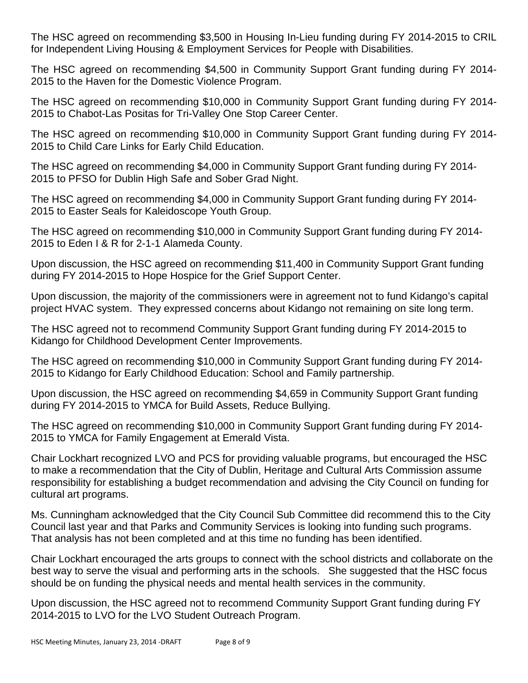The HSC agreed on recommending \$3,500 in Housing In-Lieu funding during FY 2014-2015 to CRIL for Independent Living Housing & Employment Services for People with Disabilities.

The HSC agreed on recommending \$4,500 in Community Support Grant funding during FY 2014- 2015 to the Haven for the Domestic Violence Program.

The HSC agreed on recommending \$10,000 in Community Support Grant funding during FY 2014- 2015 to Chabot-Las Positas for Tri-Valley One Stop Career Center.

The HSC agreed on recommending \$10,000 in Community Support Grant funding during FY 2014- 2015 to Child Care Links for Early Child Education.

The HSC agreed on recommending \$4,000 in Community Support Grant funding during FY 2014- 2015 to PFSO for Dublin High Safe and Sober Grad Night.

The HSC agreed on recommending \$4,000 in Community Support Grant funding during FY 2014- 2015 to Easter Seals for Kaleidoscope Youth Group.

The HSC agreed on recommending \$10,000 in Community Support Grant funding during FY 2014- 2015 to Eden I & R for 2-1-1 Alameda County.

Upon discussion, the HSC agreed on recommending \$11,400 in Community Support Grant funding during FY 2014-2015 to Hope Hospice for the Grief Support Center.

Upon discussion, the majority of the commissioners were in agreement not to fund Kidango's capital project HVAC system. They expressed concerns about Kidango not remaining on site long term.

The HSC agreed not to recommend Community Support Grant funding during FY 2014-2015 to Kidango for Childhood Development Center Improvements.

The HSC agreed on recommending \$10,000 in Community Support Grant funding during FY 2014- 2015 to Kidango for Early Childhood Education: School and Family partnership.

Upon discussion, the HSC agreed on recommending \$4,659 in Community Support Grant funding during FY 2014-2015 to YMCA for Build Assets, Reduce Bullying.

The HSC agreed on recommending \$10,000 in Community Support Grant funding during FY 2014- 2015 to YMCA for Family Engagement at Emerald Vista.

Chair Lockhart recognized LVO and PCS for providing valuable programs, but encouraged the HSC to make a recommendation that the City of Dublin, Heritage and Cultural Arts Commission assume responsibility for establishing a budget recommendation and advising the City Council on funding for cultural art programs.

Ms. Cunningham acknowledged that the City Council Sub Committee did recommend this to the City Council last year and that Parks and Community Services is looking into funding such programs. That analysis has not been completed and at this time no funding has been identified.

Chair Lockhart encouraged the arts groups to connect with the school districts and collaborate on the best way to serve the visual and performing arts in the schools. She suggested that the HSC focus should be on funding the physical needs and mental health services in the community.

Upon discussion, the HSC agreed not to recommend Community Support Grant funding during FY 2014-2015 to LVO for the LVO Student Outreach Program.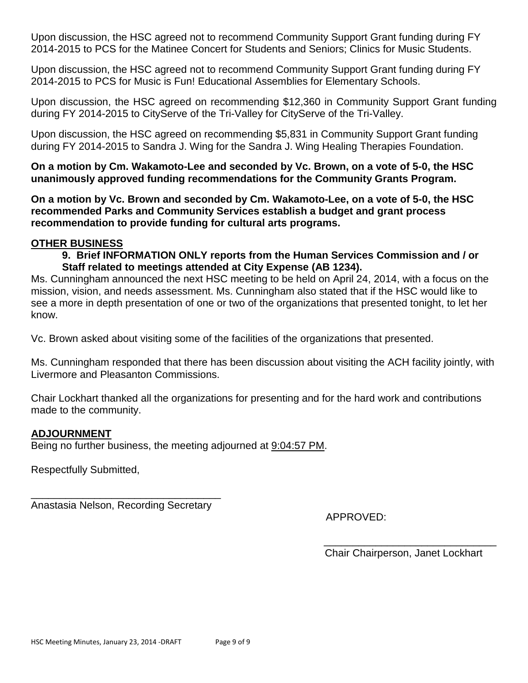Upon discussion, the HSC agreed not to recommend Community Support Grant funding during FY 2014-2015 to PCS for the Matinee Concert for Students and Seniors; Clinics for Music Students.

Upon discussion, the HSC agreed not to recommend Community Support Grant funding during FY 2014-2015 to PCS for Music is Fun! Educational Assemblies for Elementary Schools.

Upon discussion, the HSC agreed on recommending \$12,360 in Community Support Grant funding during FY 2014-2015 to CityServe of the Tri-Valley for CityServe of the Tri-Valley.

Upon discussion, the HSC agreed on recommending \$5,831 in Community Support Grant funding during FY 2014-2015 to Sandra J. Wing for the Sandra J. Wing Healing Therapies Foundation.

**On a motion by Cm. Wakamoto-Lee and seconded by Vc. Brown, on a vote of 5-0, the HSC unanimously approved funding recommendations for the Community Grants Program.**

**On a motion by Vc. Brown and seconded by Cm. Wakamoto-Lee, on a vote of 5-0, the HSC recommended Parks and Community Services establish a budget and grant process recommendation to provide funding for cultural arts programs.**

## **OTHER BUSINESS**

## **9. Brief INFORMATION ONLY reports from the Human Services Commission and / or Staff related to meetings attended at City Expense (AB 1234).**

Ms. Cunningham announced the next HSC meeting to be held on April 24, 2014, with a focus on the mission, vision, and needs assessment. Ms. Cunningham also stated that if the HSC would like to see a more in depth presentation of one or two of the organizations that presented tonight, to let her know.

Vc. Brown asked about visiting some of the facilities of the organizations that presented.

Ms. Cunningham responded that there has been discussion about visiting the ACH facility jointly, with Livermore and Pleasanton Commissions.

Chair Lockhart thanked all the organizations for presenting and for the hard work and contributions made to the community.

## **ADJOURNMENT**

Being no further business, the meeting adjourned at 9:04:57 PM.

Respectfully Submitted,

\_\_\_\_\_\_\_\_\_\_\_\_\_\_\_\_\_\_\_\_\_\_\_\_\_\_\_\_\_\_\_\_\_ Anastasia Nelson, Recording Secretary

APPROVED:

\_\_\_\_\_\_\_\_\_\_\_\_\_\_\_\_\_\_\_\_\_\_\_\_\_\_\_\_\_\_ Chair Chairperson, Janet Lockhart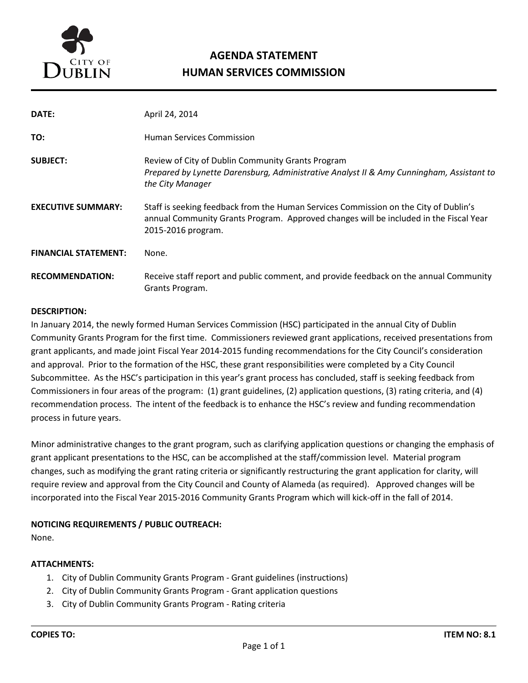

# **AGENDA STATEMENT HUMAN SERVICES COMMISSION**

| DATE:                       | April 24, 2014                                                                                                                                                                                      |  |
|-----------------------------|-----------------------------------------------------------------------------------------------------------------------------------------------------------------------------------------------------|--|
| TO:                         | <b>Human Services Commission</b>                                                                                                                                                                    |  |
| <b>SUBJECT:</b>             | Review of City of Dublin Community Grants Program<br>Prepared by Lynette Darensburg, Administrative Analyst II & Amy Cunningham, Assistant to<br>the City Manager                                   |  |
| <b>EXECUTIVE SUMMARY:</b>   | Staff is seeking feedback from the Human Services Commission on the City of Dublin's<br>annual Community Grants Program. Approved changes will be included in the Fiscal Year<br>2015-2016 program. |  |
| <b>FINANCIAL STATEMENT:</b> | None.                                                                                                                                                                                               |  |
| <b>RECOMMENDATION:</b>      | Receive staff report and public comment, and provide feedback on the annual Community<br>Grants Program.                                                                                            |  |

#### **DESCRIPTION:**

In January 2014, the newly formed Human Services Commission (HSC) participated in the annual City of Dublin Community Grants Program for the first time. Commissioners reviewed grant applications, received presentations from grant applicants, and made joint Fiscal Year 2014-2015 funding recommendations for the City Council's consideration and approval. Prior to the formation of the HSC, these grant responsibilities were completed by a City Council Subcommittee. As the HSC's participation in this year's grant process has concluded, staff is seeking feedback from Commissioners in four areas of the program: (1) grant guidelines, (2) application questions, (3) rating criteria, and (4) recommendation process. The intent of the feedback is to enhance the HSC's review and funding recommendation process in future years.

Minor administrative changes to the grant program, such as clarifying application questions or changing the emphasis of grant applicant presentations to the HSC, can be accomplished at the staff/commission level. Material program changes, such as modifying the grant rating criteria or significantly restructuring the grant application for clarity, will require review and approval from the City Council and County of Alameda (as required). Approved changes will be incorporated into the Fiscal Year 2015-2016 Community Grants Program which will kick-off in the fall of 2014.

#### **NOTICING REQUIREMENTS / PUBLIC OUTREACH:**

None.

#### **ATTACHMENTS:**

- 1. City of Dublin Community Grants Program Grant guidelines (instructions)
- 2. City of Dublin Community Grants Program Grant application questions
- 3. City of Dublin Community Grants Program Rating criteria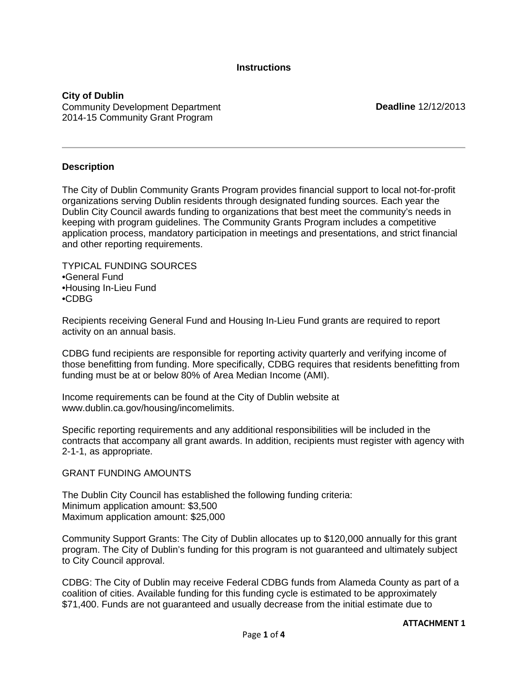**Instructions**

**City of Dublin** Community Development Department 2014-15 Community Grant Program

**Deadline** 12/12/2013

#### **Description**

The City of Dublin Community Grants Program provides financial support to local not-for-profit organizations serving Dublin residents through designated funding sources. Each year the Dublin City Council awards funding to organizations that best meet the community's needs in keeping with program guidelines. The Community Grants Program includes a competitive application process, mandatory participation in meetings and presentations, and strict financial and other reporting requirements.

TYPICAL FUNDING SOURCES •General Fund •Housing In-Lieu Fund •CDBG

Recipients receiving General Fund and Housing In-Lieu Fund grants are required to report activity on an annual basis.

CDBG fund recipients are responsible for reporting activity quarterly and verifying income of those benefitting from funding. More specifically, CDBG requires that residents benefitting from funding must be at or below 80% of Area Median Income (AMI).

Income requirements can be found at the City of Dublin website at www.dublin.ca.gov/housing/incomelimits.

Specific reporting requirements and any additional responsibilities will be included in the contracts that accompany all grant awards. In addition, recipients must register with agency with 2-1-1, as appropriate.

GRANT FUNDING AMOUNTS

The Dublin City Council has established the following funding criteria: Minimum application amount: \$3,500 Maximum application amount: \$25,000

Community Support Grants: The City of Dublin allocates up to \$120,000 annually for this grant program. The City of Dublin's funding for this program is not guaranteed and ultimately subject to City Council approval.

CDBG: The City of Dublin may receive Federal CDBG funds from Alameda County as part of a coalition of cities. Available funding for this funding cycle is estimated to be approximately \$71,400. Funds are not guaranteed and usually decrease from the initial estimate due to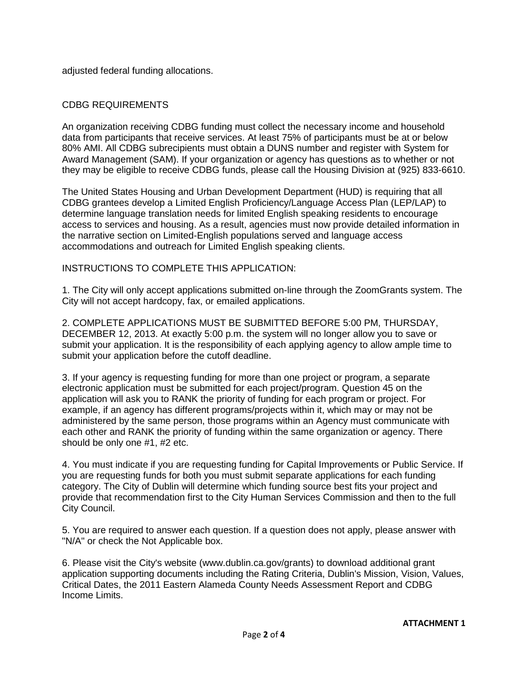adjusted federal funding allocations.

#### CDBG REQUIREMENTS

An organization receiving CDBG funding must collect the necessary income and household data from participants that receive services. At least 75% of participants must be at or below 80% AMI. All CDBG subrecipients must obtain a DUNS number and register with System for Award Management (SAM). If your organization or agency has questions as to whether or not they may be eligible to receive CDBG funds, please call the Housing Division at (925) 833-6610.

The United States Housing and Urban Development Department (HUD) is requiring that all CDBG grantees develop a Limited English Proficiency/Language Access Plan (LEP/LAP) to determine language translation needs for limited English speaking residents to encourage access to services and housing. As a result, agencies must now provide detailed information in the narrative section on Limited-English populations served and language access accommodations and outreach for Limited English speaking clients.

#### INSTRUCTIONS TO COMPLETE THIS APPLICATION:

1. The City will only accept applications submitted on-line through the ZoomGrants system. The City will not accept hardcopy, fax, or emailed applications.

2. COMPLETE APPLICATIONS MUST BE SUBMITTED BEFORE 5:00 PM, THURSDAY, DECEMBER 12, 2013. At exactly 5:00 p.m. the system will no longer allow you to save or submit your application. It is the responsibility of each applying agency to allow ample time to submit your application before the cutoff deadline.

3. If your agency is requesting funding for more than one project or program, a separate electronic application must be submitted for each project/program. Question 45 on the application will ask you to RANK the priority of funding for each program or project. For example, if an agency has different programs/projects within it, which may or may not be administered by the same person, those programs within an Agency must communicate with each other and RANK the priority of funding within the same organization or agency. There should be only one #1, #2 etc.

4. You must indicate if you are requesting funding for Capital Improvements or Public Service. If you are requesting funds for both you must submit separate applications for each funding category. The City of Dublin will determine which funding source best fits your project and provide that recommendation first to the City Human Services Commission and then to the full City Council.

5. You are required to answer each question. If a question does not apply, please answer with "N/A" or check the Not Applicable box.

6. Please visit the City's website (www.dublin.ca.gov/grants) to download additional grant application supporting documents including the Rating Criteria, Dublin's Mission, Vision, Values, Critical Dates, the 2011 Eastern Alameda County Needs Assessment Report and CDBG Income Limits.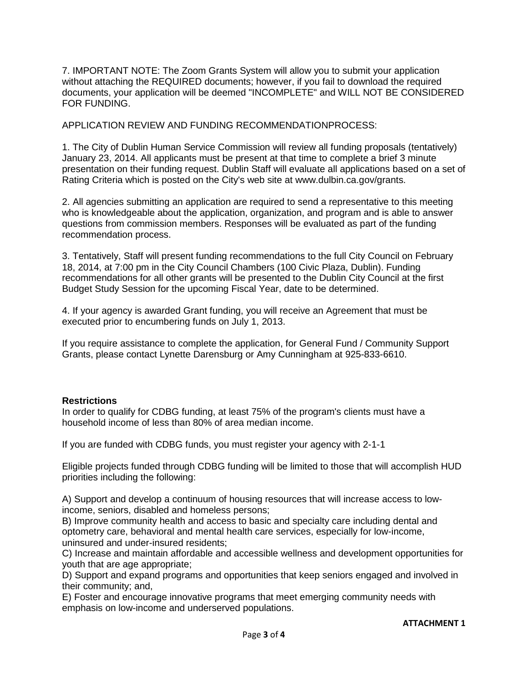7. IMPORTANT NOTE: The Zoom Grants System will allow you to submit your application without attaching the REQUIRED documents; however, if you fail to download the required documents, your application will be deemed "INCOMPLETE" and WILL NOT BE CONSIDERED FOR FUNDING.

APPLICATION REVIEW AND FUNDING RECOMMENDATIONPROCESS:

1. The City of Dublin Human Service Commission will review all funding proposals (tentatively) January 23, 2014. All applicants must be present at that time to complete a brief 3 minute presentation on their funding request. Dublin Staff will evaluate all applications based on a set of Rating Criteria which is posted on the City's web site at www.dulbin.ca.gov/grants.

2. All agencies submitting an application are required to send a representative to this meeting who is knowledgeable about the application, organization, and program and is able to answer questions from commission members. Responses will be evaluated as part of the funding recommendation process.

3. Tentatively, Staff will present funding recommendations to the full City Council on February 18, 2014, at 7:00 pm in the City Council Chambers (100 Civic Plaza, Dublin). Funding recommendations for all other grants will be presented to the Dublin City Council at the first Budget Study Session for the upcoming Fiscal Year, date to be determined.

4. If your agency is awarded Grant funding, you will receive an Agreement that must be executed prior to encumbering funds on July 1, 2013.

If you require assistance to complete the application, for General Fund / Community Support Grants, please contact Lynette Darensburg or Amy Cunningham at 925-833-6610.

#### **Restrictions**

In order to qualify for CDBG funding, at least 75% of the program's clients must have a household income of less than 80% of area median income.

If you are funded with CDBG funds, you must register your agency with 2-1-1

Eligible projects funded through CDBG funding will be limited to those that will accomplish HUD priorities including the following:

A) Support and develop a continuum of housing resources that will increase access to lowincome, seniors, disabled and homeless persons;

B) Improve community health and access to basic and specialty care including dental and optometry care, behavioral and mental health care services, especially for low-income, uninsured and under-insured residents;

C) Increase and maintain affordable and accessible wellness and development opportunities for youth that are age appropriate;

D) Support and expand programs and opportunities that keep seniors engaged and involved in their community; and,

E) Foster and encourage innovative programs that meet emerging community needs with emphasis on low-income and underserved populations.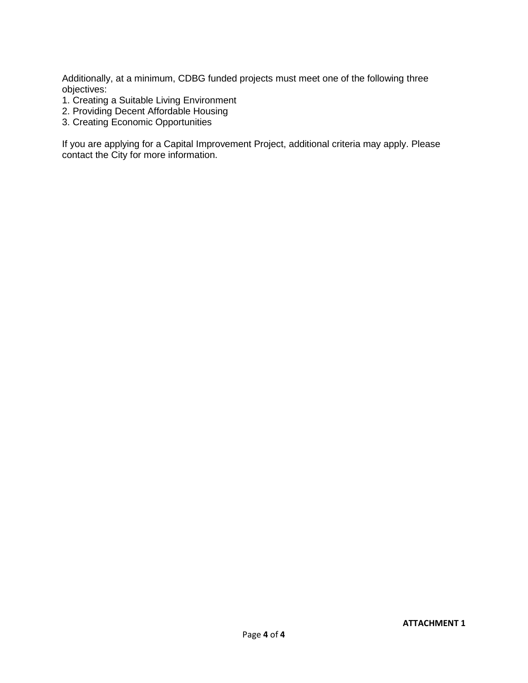Additionally, at a minimum, CDBG funded projects must meet one of the following three objectives:

- 1. Creating a Suitable Living Environment
- 2. Providing Decent Affordable Housing
- 3. Creating Economic Opportunities

If you are applying for a Capital Improvement Project, additional criteria may apply. Please contact the City for more information.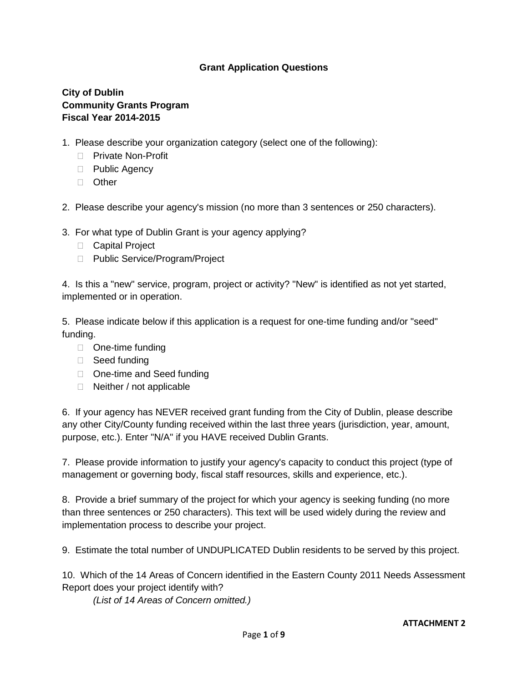## **Grant Application Questions**

## **City of Dublin Community Grants Program Fiscal Year 2014-2015**

- 1. Please describe your organization category (select one of the following):
	- □ Private Non-Profit
	- □ Public Agency
	- □ Other
- 2. Please describe your agency's mission (no more than 3 sentences or 250 characters).
- 3. For what type of Dublin Grant is your agency applying?
	- □ Capital Project
	- □ Public Service/Program/Project

4. Is this a "new" service, program, project or activity? "New" is identified as not yet started, implemented or in operation.

5. Please indicate below if this application is a request for one-time funding and/or "seed" funding.

- □ One-time funding
- □ Seed funding
- □ One-time and Seed funding
- □ Neither / not applicable

6. If your agency has NEVER received grant funding from the City of Dublin, please describe any other City/County funding received within the last three years (jurisdiction, year, amount, purpose, etc.). Enter "N/A" if you HAVE received Dublin Grants.

7. Please provide information to justify your agency's capacity to conduct this project (type of management or governing body, fiscal staff resources, skills and experience, etc.).

8. Provide a brief summary of the project for which your agency is seeking funding (no more than three sentences or 250 characters). This text will be used widely during the review and implementation process to describe your project.

9. Estimate the total number of UNDUPLICATED Dublin residents to be served by this project.

10. Which of the 14 Areas of Concern identified in the Eastern County 2011 Needs Assessment Report does your project identify with?

*(List of 14 Areas of Concern omitted.)*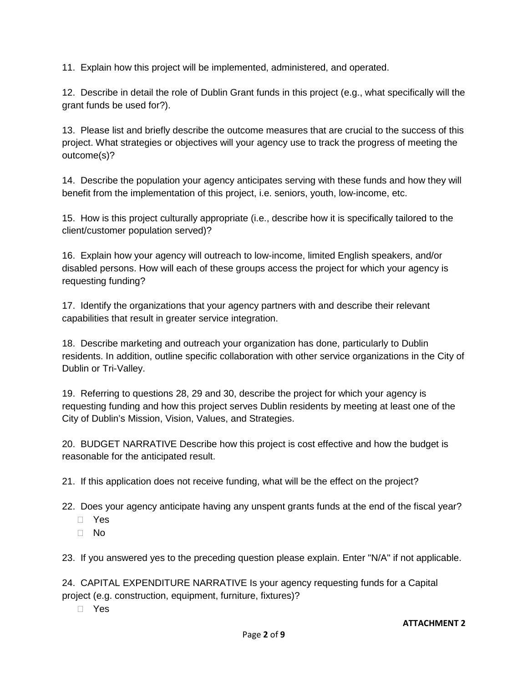11. Explain how this project will be implemented, administered, and operated.

12. Describe in detail the role of Dublin Grant funds in this project (e.g., what specifically will the grant funds be used for?).

13. Please list and briefly describe the outcome measures that are crucial to the success of this project. What strategies or objectives will your agency use to track the progress of meeting the outcome(s)?

14. Describe the population your agency anticipates serving with these funds and how they will benefit from the implementation of this project, i.e. seniors, youth, low-income, etc.

15. How is this project culturally appropriate (i.e., describe how it is specifically tailored to the client/customer population served)?

16. Explain how your agency will outreach to low-income, limited English speakers, and/or disabled persons. How will each of these groups access the project for which your agency is requesting funding?

17. Identify the organizations that your agency partners with and describe their relevant capabilities that result in greater service integration.

18. Describe marketing and outreach your organization has done, particularly to Dublin residents. In addition, outline specific collaboration with other service organizations in the City of Dublin or Tri-Valley.

19. Referring to questions 28, 29 and 30, describe the project for which your agency is requesting funding and how this project serves Dublin residents by meeting at least one of the City of Dublin's Mission, Vision, Values, and Strategies.

20. BUDGET NARRATIVE Describe how this project is cost effective and how the budget is reasonable for the anticipated result.

21. If this application does not receive funding, what will be the effect on the project?

22. Does your agency anticipate having any unspent grants funds at the end of the fiscal year?

- Yes
- No

23. If you answered yes to the preceding question please explain. Enter "N/A" if not applicable.

24. CAPITAL EXPENDITURE NARRATIVE Is your agency requesting funds for a Capital project (e.g. construction, equipment, furniture, fixtures)?

Yes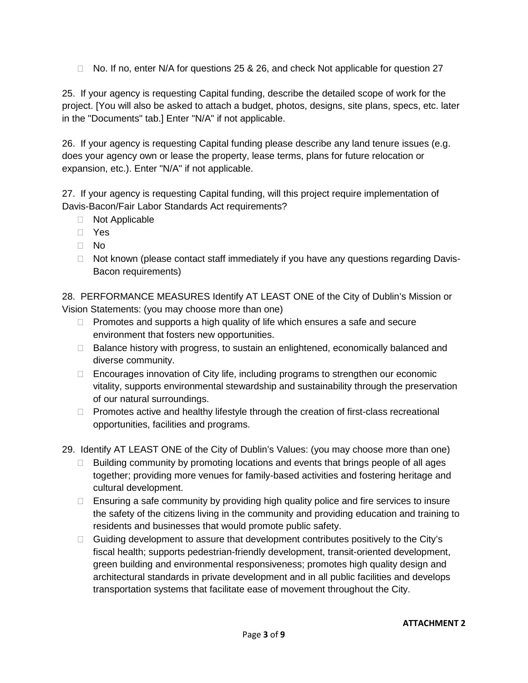$\Box$  No. If no, enter N/A for questions 25 & 26, and check Not applicable for question 27

25. If your agency is requesting Capital funding, describe the detailed scope of work for the project. [You will also be asked to attach a budget, photos, designs, site plans, specs, etc. later in the "Documents" tab.] Enter "N/A" if not applicable.

26. If your agency is requesting Capital funding please describe any land tenure issues (e.g. does your agency own or lease the property, lease terms, plans for future relocation or expansion, etc.). Enter "N/A" if not applicable.

27. If your agency is requesting Capital funding, will this project require implementation of Davis-Bacon/Fair Labor Standards Act requirements?

- Not Applicable
- Yes
- $\Box$  No
- □ Not known (please contact staff immediately if you have any questions regarding Davis-Bacon requirements)

28. PERFORMANCE MEASURES Identify AT LEAST ONE of the City of Dublin's Mission or Vision Statements: (you may choose more than one)

- $\Box$  Promotes and supports a high quality of life which ensures a safe and secure environment that fosters new opportunities.
- $\Box$  Balance history with progress, to sustain an enlightened, economically balanced and diverse community.
- □ Encourages innovation of City life, including programs to strengthen our economic vitality, supports environmental stewardship and sustainability through the preservation of our natural surroundings.
- $\Box$  Promotes active and healthy lifestyle through the creation of first-class recreational opportunities, facilities and programs.
- 29. Identify AT LEAST ONE of the City of Dublin's Values: (you may choose more than one)
	- $\Box$  Building community by promoting locations and events that brings people of all ages together; providing more venues for family-based activities and fostering heritage and cultural development.
	- $\Box$  Ensuring a safe community by providing high quality police and fire services to insure the safety of the citizens living in the community and providing education and training to residents and businesses that would promote public safety.
	- $\Box$  Guiding development to assure that development contributes positively to the City's fiscal health; supports pedestrian-friendly development, transit-oriented development, green building and environmental responsiveness; promotes high quality design and architectural standards in private development and in all public facilities and develops transportation systems that facilitate ease of movement throughout the City.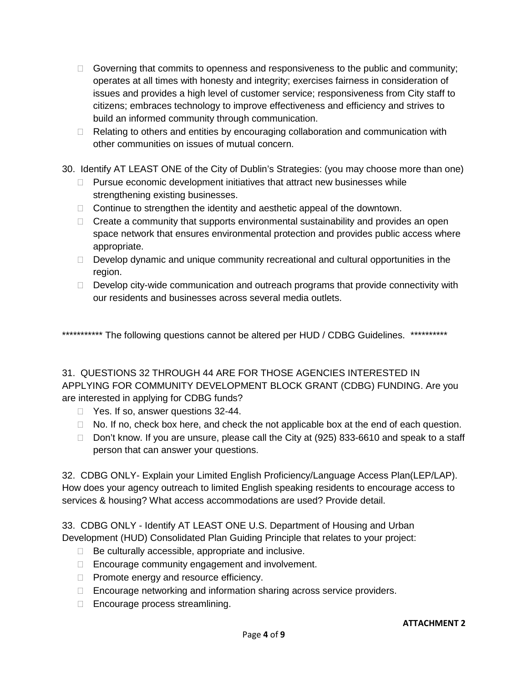- Governing that commits to openness and responsiveness to the public and community; operates at all times with honesty and integrity; exercises fairness in consideration of issues and provides a high level of customer service; responsiveness from City staff to citizens; embraces technology to improve effectiveness and efficiency and strives to build an informed community through communication.
- $\Box$  Relating to others and entities by encouraging collaboration and communication with other communities on issues of mutual concern.
- 30. Identify AT LEAST ONE of the City of Dublin's Strategies: (you may choose more than one)
	- $\Box$  Pursue economic development initiatives that attract new businesses while strengthening existing businesses.
	- $\Box$  Continue to strengthen the identity and aesthetic appeal of the downtown.
	- $\Box$  Create a community that supports environmental sustainability and provides an open space network that ensures environmental protection and provides public access where appropriate.
	- $\Box$  Develop dynamic and unique community recreational and cultural opportunities in the region.
	- $\Box$  Develop city-wide communication and outreach programs that provide connectivity with our residents and businesses across several media outlets.

\*\*\*\*\*\*\*\*\*\*\*\* The following questions cannot be altered per HUD / CDBG Guidelines. \*\*\*\*\*\*\*\*\*\*\*

## 31. QUESTIONS 32 THROUGH 44 ARE FOR THOSE AGENCIES INTERESTED IN APPLYING FOR COMMUNITY DEVELOPMENT BLOCK GRANT (CDBG) FUNDING. Are you are interested in applying for CDBG funds?

- □ Yes. If so, answer questions 32-44.
- $\Box$  No. If no, check box here, and check the not applicable box at the end of each question.
- □ Don't know. If you are unsure, please call the City at (925) 833-6610 and speak to a staff person that can answer your questions.

32. CDBG ONLY- Explain your Limited English Proficiency/Language Access Plan(LEP/LAP). How does your agency outreach to limited English speaking residents to encourage access to services & housing? What access accommodations are used? Provide detail.

33. CDBG ONLY - Identify AT LEAST ONE U.S. Department of Housing and Urban Development (HUD) Consolidated Plan Guiding Principle that relates to your project:

- $\Box$  Be culturally accessible, appropriate and inclusive.
- □ Encourage community engagement and involvement.
- □ Promote energy and resource efficiency.
- □ Encourage networking and information sharing across service providers.
- □ Encourage process streamlining.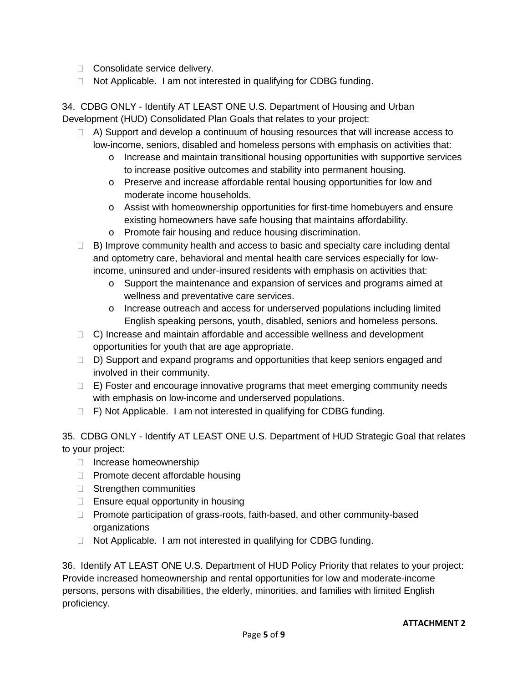- □ Consolidate service delivery.
- $\Box$  Not Applicable. I am not interested in qualifying for CDBG funding.

34. CDBG ONLY - Identify AT LEAST ONE U.S. Department of Housing and Urban Development (HUD) Consolidated Plan Goals that relates to your project:

- $\Box$  A) Support and develop a continuum of housing resources that will increase access to low-income, seniors, disabled and homeless persons with emphasis on activities that:
	- $\circ$  Increase and maintain transitional housing opportunities with supportive services to increase positive outcomes and stability into permanent housing.
	- o Preserve and increase affordable rental housing opportunities for low and moderate income households.
	- o Assist with homeownership opportunities for first-time homebuyers and ensure existing homeowners have safe housing that maintains affordability.
	- o Promote fair housing and reduce housing discrimination.
- $\Box$  B) Improve community health and access to basic and specialty care including dental and optometry care, behavioral and mental health care services especially for lowincome, uninsured and under-insured residents with emphasis on activities that:
	- o Support the maintenance and expansion of services and programs aimed at wellness and preventative care services.
	- o Increase outreach and access for underserved populations including limited English speaking persons, youth, disabled, seniors and homeless persons.
- $\Box$  C) Increase and maintain affordable and accessible wellness and development opportunities for youth that are age appropriate.
- □ D) Support and expand programs and opportunities that keep seniors engaged and involved in their community.
- $\Box$  E) Foster and encourage innovative programs that meet emerging community needs with emphasis on low-income and underserved populations.
- $\Box$  F) Not Applicable. I am not interested in qualifying for CDBG funding.

35. CDBG ONLY - Identify AT LEAST ONE U.S. Department of HUD Strategic Goal that relates to your project:

- □ Increase homeownership
- $\Box$  Promote decent affordable housing
- □ Strengthen communities
- $\Box$  Ensure equal opportunity in housing
- □ Promote participation of grass-roots, faith-based, and other community-based organizations
- □ Not Applicable. I am not interested in qualifying for CDBG funding.

36. Identify AT LEAST ONE U.S. Department of HUD Policy Priority that relates to your project: Provide increased homeownership and rental opportunities for low and moderate-income persons, persons with disabilities, the elderly, minorities, and families with limited English proficiency.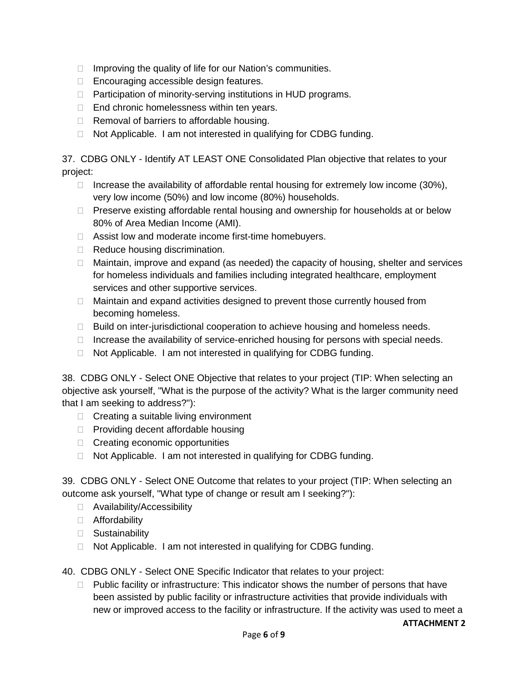- $\Box$  Improving the quality of life for our Nation's communities.
- □ Encouraging accessible design features.
- □ Participation of minority-serving institutions in HUD programs.
- $\Box$  End chronic homelessness within ten years.
- $\Box$  Removal of barriers to affordable housing.
- $\Box$  Not Applicable. I am not interested in qualifying for CDBG funding.

37. CDBG ONLY - Identify AT LEAST ONE Consolidated Plan objective that relates to your project:

- $\Box$  Increase the availability of affordable rental housing for extremely low income (30%), very low income (50%) and low income (80%) households.
- $\Box$  Preserve existing affordable rental housing and ownership for households at or below 80% of Area Median Income (AMI).
- □ Assist low and moderate income first-time homebuyers.
- Reduce housing discrimination.
- $\Box$  Maintain, improve and expand (as needed) the capacity of housing, shelter and services for homeless individuals and families including integrated healthcare, employment services and other supportive services.
- $\Box$  Maintain and expand activities designed to prevent those currently housed from becoming homeless.
- $\Box$  Build on inter-jurisdictional cooperation to achieve housing and homeless needs.
- $\Box$  Increase the availability of service-enriched housing for persons with special needs.
- $\Box$  Not Applicable. I am not interested in qualifying for CDBG funding.

38. CDBG ONLY - Select ONE Objective that relates to your project (TIP: When selecting an objective ask yourself, "What is the purpose of the activity? What is the larger community need that I am seeking to address?"):

- $\Box$  Creating a suitable living environment
- $\Box$  Providing decent affordable housing
- $\Box$  Creating economic opportunities
- $\Box$  Not Applicable. I am not interested in qualifying for CDBG funding.

39. CDBG ONLY - Select ONE Outcome that relates to your project (TIP: When selecting an outcome ask yourself, "What type of change or result am I seeking?"):

- □ Availability/Accessibility
- Affordability
- □ Sustainability
- $\Box$  Not Applicable. I am not interested in qualifying for CDBG funding.

40. CDBG ONLY - Select ONE Specific Indicator that relates to your project:

 $\Box$  Public facility or infrastructure: This indicator shows the number of persons that have been assisted by public facility or infrastructure activities that provide individuals with new or improved access to the facility or infrastructure. If the activity was used to meet a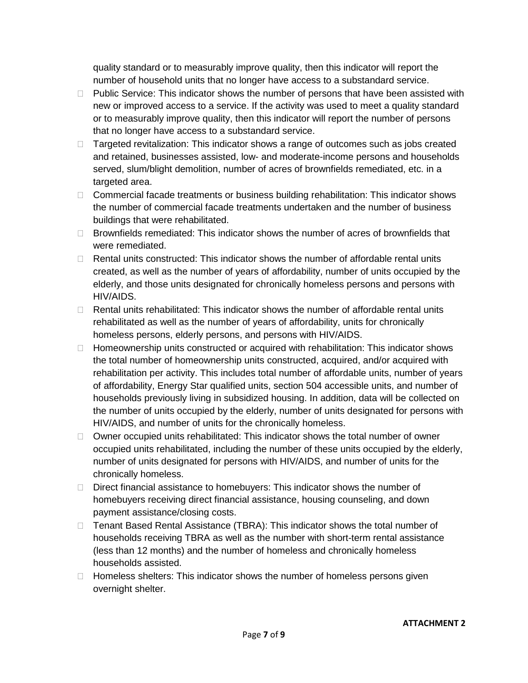quality standard or to measurably improve quality, then this indicator will report the number of household units that no longer have access to a substandard service.

- $\Box$  Public Service: This indicator shows the number of persons that have been assisted with new or improved access to a service. If the activity was used to meet a quality standard or to measurably improve quality, then this indicator will report the number of persons that no longer have access to a substandard service.
- $\Box$  Targeted revitalization: This indicator shows a range of outcomes such as jobs created and retained, businesses assisted, low- and moderate-income persons and households served, slum/blight demolition, number of acres of brownfields remediated, etc. in a targeted area.
- □ Commercial facade treatments or business building rehabilitation: This indicator shows the number of commercial facade treatments undertaken and the number of business buildings that were rehabilitated.
- $\Box$  Brownfields remediated: This indicator shows the number of acres of brownfields that were remediated.
- $\Box$  Rental units constructed: This indicator shows the number of affordable rental units created, as well as the number of years of affordability, number of units occupied by the elderly, and those units designated for chronically homeless persons and persons with HIV/AIDS.
- $\Box$  Rental units rehabilitated: This indicator shows the number of affordable rental units rehabilitated as well as the number of years of affordability, units for chronically homeless persons, elderly persons, and persons with HIV/AIDS.
- $\Box$  Homeownership units constructed or acquired with rehabilitation: This indicator shows the total number of homeownership units constructed, acquired, and/or acquired with rehabilitation per activity. This includes total number of affordable units, number of years of affordability, Energy Star qualified units, section 504 accessible units, and number of households previously living in subsidized housing. In addition, data will be collected on the number of units occupied by the elderly, number of units designated for persons with HIV/AIDS, and number of units for the chronically homeless.
- $\Box$  Owner occupied units rehabilitated: This indicator shows the total number of owner occupied units rehabilitated, including the number of these units occupied by the elderly, number of units designated for persons with HIV/AIDS, and number of units for the chronically homeless.
- $\Box$  Direct financial assistance to homebuyers: This indicator shows the number of homebuyers receiving direct financial assistance, housing counseling, and down payment assistance/closing costs.
- □ Tenant Based Rental Assistance (TBRA): This indicator shows the total number of households receiving TBRA as well as the number with short-term rental assistance (less than 12 months) and the number of homeless and chronically homeless households assisted.
- $\Box$  Homeless shelters: This indicator shows the number of homeless persons given overnight shelter.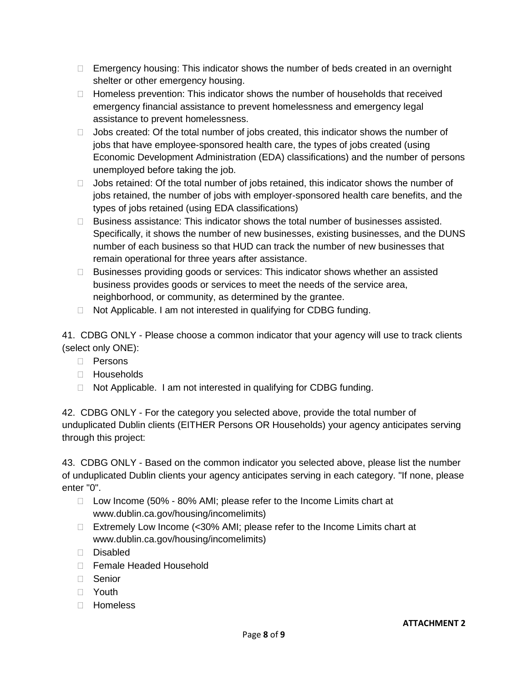- $\Box$  Emergency housing: This indicator shows the number of beds created in an overnight shelter or other emergency housing.
- $\Box$  Homeless prevention: This indicator shows the number of households that received emergency financial assistance to prevent homelessness and emergency legal assistance to prevent homelessness.
- $\Box$  Jobs created: Of the total number of jobs created, this indicator shows the number of jobs that have employee-sponsored health care, the types of jobs created (using Economic Development Administration (EDA) classifications) and the number of persons unemployed before taking the job.
- $\Box$  Jobs retained: Of the total number of jobs retained, this indicator shows the number of jobs retained, the number of jobs with employer-sponsored health care benefits, and the types of jobs retained (using EDA classifications)
- $\Box$  Business assistance: This indicator shows the total number of businesses assisted. Specifically, it shows the number of new businesses, existing businesses, and the DUNS number of each business so that HUD can track the number of new businesses that remain operational for three years after assistance.
- $\Box$  Businesses providing goods or services: This indicator shows whether an assisted business provides goods or services to meet the needs of the service area, neighborhood, or community, as determined by the grantee.
- $\Box$  Not Applicable. I am not interested in qualifying for CDBG funding.

41. CDBG ONLY - Please choose a common indicator that your agency will use to track clients (select only ONE):

- □ Persons
- □ Households
- $\Box$  Not Applicable. I am not interested in qualifying for CDBG funding.

42. CDBG ONLY - For the category you selected above, provide the total number of unduplicated Dublin clients (EITHER Persons OR Households) your agency anticipates serving through this project:

43. CDBG ONLY - Based on the common indicator you selected above, please list the number of unduplicated Dublin clients your agency anticipates serving in each category. "If none, please enter "0".

- $\Box$  Low Income (50% 80% AMI; please refer to the Income Limits chart at www.dublin.ca.gov/housing/incomelimits)
- □ Extremely Low Income (<30% AMI; please refer to the Income Limits chart at www.dublin.ca.gov/housing/incomelimits)
- Disabled
- □ Female Headed Household
- Senior
- Youth
- □ Homeless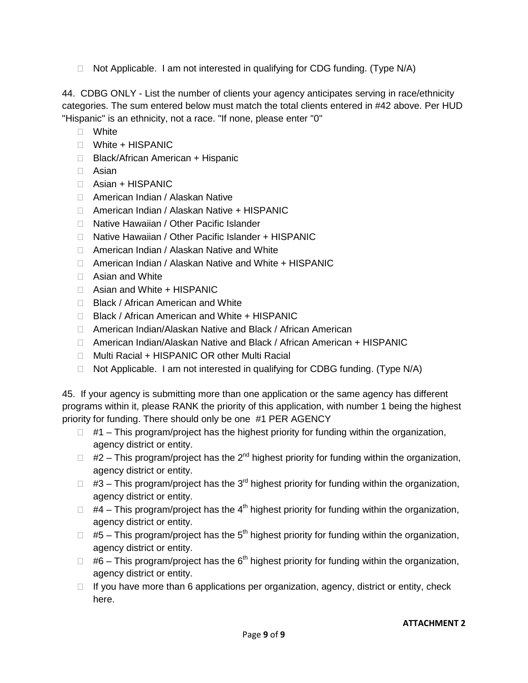$\Box$  Not Applicable. I am not interested in qualifying for CDG funding. (Type N/A)

44. CDBG ONLY - List the number of clients your agency anticipates serving in race/ethnicity categories. The sum entered below must match the total clients entered in #42 above. Per HUD "Hispanic" is an ethnicity, not a race. "If none, please enter "0"

- White
- White + HISPANIC
- □ Black/African American + Hispanic
- Asian
- Asian + HISPANIC
- □ American Indian / Alaskan Native
- □ American Indian / Alaskan Native + HISPANIC
- □ Native Hawaiian / Other Pacific Islander
- □ Native Hawaiian / Other Pacific Islander + HISPANIC
- □ American Indian / Alaskan Native and White
- □ American Indian / Alaskan Native and White + HISPANIC
- $\Box$  Asian and White
- $\Box$  Asian and White + HISPANIC
- □ Black / African American and White
- □ Black / African American and White + HISPANIC
- □ American Indian/Alaskan Native and Black / African American
- □ American Indian/Alaskan Native and Black / African American + HISPANIC
- □ Multi Racial + HISPANIC OR other Multi Racial
- $\Box$  Not Applicable. I am not interested in qualifying for CDBG funding. (Type N/A)

45. If your agency is submitting more than one application or the same agency has different programs within it, please RANK the priority of this application, with number 1 being the highest priority for funding. There should only be one #1 PER AGENCY

- $\Box$  #1 This program/project has the highest priority for funding within the organization, agency district or entity.
- $\Box$  #2 This program/project has the 2<sup>nd</sup> highest priority for funding within the organization, agency district or entity.
- $\Box$  #3 This program/project has the 3<sup>rd</sup> highest priority for funding within the organization, agency district or entity.
- $\Box$  #4 This program/project has the 4<sup>th</sup> highest priority for funding within the organization, agency district or entity.
- $\Box$  #5 This program/project has the 5<sup>th</sup> highest priority for funding within the organization, agency district or entity.
- $\Box$  #6 This program/project has the 6<sup>th</sup> highest priority for funding within the organization, agency district or entity.
- $\Box$  If you have more than 6 applications per organization, agency, district or entity, check here.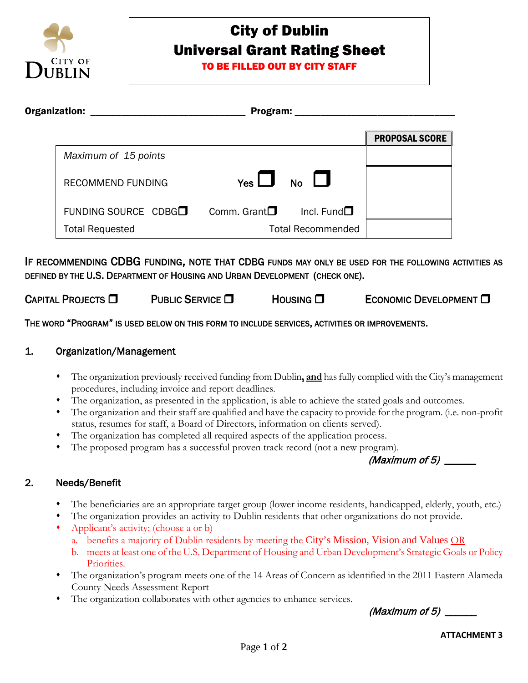

# City of Dublin Universal Grant Rating Sheet

TO BE FILLED OUT BY CITY STAFF

| Organization: |                                  | Program:              |                          |                       |
|---------------|----------------------------------|-----------------------|--------------------------|-----------------------|
|               |                                  |                       |                          |                       |
|               |                                  |                       |                          | <b>PROPOSAL SCORE</b> |
|               | Maximum of 15 points             |                       |                          |                       |
|               | RECOMMEND FUNDING                | $Yes$ $\Box$          | $NO$ $\Box$              |                       |
|               | FUNDING SOURCE CDBG <sup>1</sup> | Comm. Grant $\square$ | Incl. Fund $\square$     |                       |
|               | <b>Total Requested</b>           |                       | <b>Total Recommended</b> |                       |

IF RECOMMENDING CDBG FUNDING, NOTE THAT CDBG FUNDS MAY ONLY BE USED FOR THE FOLLOWING ACTIVITIES AS DEFINED BY THE U.S. DEPARTMENT OF HOUSING AND URBAN DEVELOPMENT (CHECK ONE).

CAPITAL PROJECTS  $\square$  PUBLIC SERVICE  $\square$  Housing  $\square$  Economic Development  $\square$ 

THE WORD "PROGRAM" IS USED BELOW ON THIS FORM TO INCLUDE SERVICES, ACTIVITIES OR IMPROVEMENTS.

## 1. Organization/Management

- The organization previously received funding from Dublin**, and** has fully complied with the City's management procedures, including invoice and report deadlines.
- The organization, as presented in the application, is able to achieve the stated goals and outcomes.
- The organization and their staff are qualified and have the capacity to provide for the program. (i.e. non-profit status, resumes for staff, a Board of Directors, information on clients served).
- The organization has completed all required aspects of the application process.
- The proposed program has a successful proven track record (not a new program).

(Maximum of 5) \_\_\_\_\_\_

## 2. Needs/Benefit

- The beneficiaries are an appropriate target group (lower income residents, handicapped, elderly, youth, etc.)
- The organization provides an activity to Dublin residents that other organizations do not provide.
- Applicant's activity: (choose a or b)
	- a. benefits a majority of Dublin residents by meeting the City's Mission, Vision and Values OR
	- b. meets at least one of the U.S. Department of Housing and Urban Development's Strategic Goals or Policy Priorities.
- The organization's program meets one of the 14 Areas of Concern as identified in the 2011 Eastern Alameda County Needs Assessment Report
- The organization collaborates with other agencies to enhance services.

(Maximum of  $5$ )  $-$ 

**ATTACHMENT 3**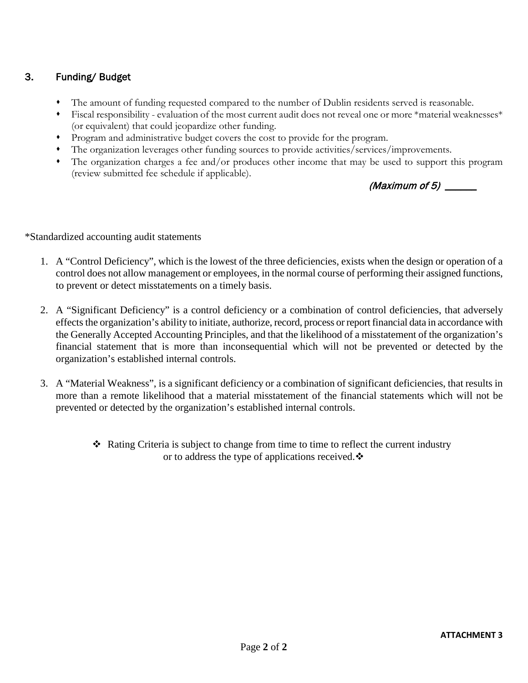## 3. Funding/ Budget

- The amount of funding requested compared to the number of Dublin residents served is reasonable.
- Fiscal responsibility evaluation of the most current audit does not reveal one or more \*material weaknesses\* (or equivalent) that could jeopardize other funding.
- Program and administrative budget covers the cost to provide for the program.
- The organization leverages other funding sources to provide activities/services/improvements.
- The organization charges a fee and/or produces other income that may be used to support this program (review submitted fee schedule if applicable).

(Maximum of  $5$ )

\*Standardized accounting audit statements

- 1. A "Control Deficiency", which is the lowest of the three deficiencies, exists when the design or operation of a control does not allow management or employees, in the normal course of performing their assigned functions, to prevent or detect misstatements on a timely basis.
- 2. A "Significant Deficiency" is a control deficiency or a combination of control deficiencies, that adversely effects the organization's ability to initiate, authorize, record, process or report financial data in accordance with the Generally Accepted Accounting Principles, and that the likelihood of a misstatement of the organization's financial statement that is more than inconsequential which will not be prevented or detected by the organization's established internal controls.
- 3. A "Material Weakness", is a significant deficiency or a combination of significant deficiencies, that results in more than a remote likelihood that a material misstatement of the financial statements which will not be prevented or detected by the organization's established internal controls.
	- $\triangle$  Rating Criteria is subject to change from time to time to reflect the current industry or to address the type of applications received. $\ddot{\bullet}$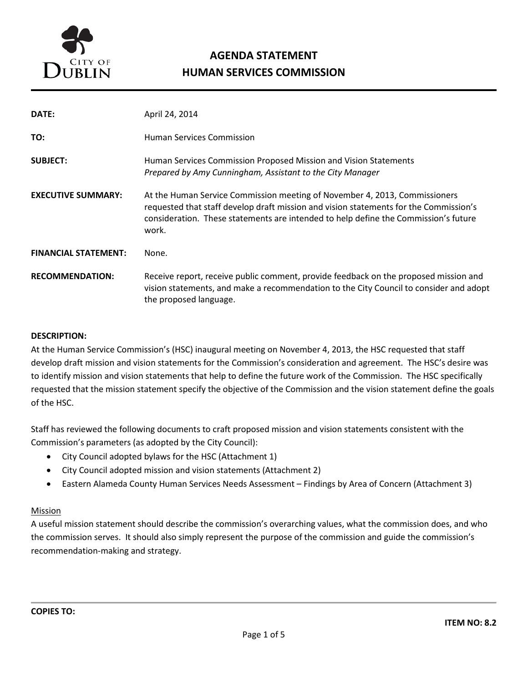

# **AGENDA STATEMENT HUMAN SERVICES COMMISSION**

| DATE:                       | April 24, 2014                                                                                                                                                                                                                                                      |
|-----------------------------|---------------------------------------------------------------------------------------------------------------------------------------------------------------------------------------------------------------------------------------------------------------------|
| TO:                         | <b>Human Services Commission</b>                                                                                                                                                                                                                                    |
| <b>SUBJECT:</b>             | Human Services Commission Proposed Mission and Vision Statements<br>Prepared by Amy Cunningham, Assistant to the City Manager                                                                                                                                       |
| <b>EXECUTIVE SUMMARY:</b>   | At the Human Service Commission meeting of November 4, 2013, Commissioners<br>requested that staff develop draft mission and vision statements for the Commission's<br>consideration. These statements are intended to help define the Commission's future<br>work. |
| <b>FINANCIAL STATEMENT:</b> | None.                                                                                                                                                                                                                                                               |
| <b>RECOMMENDATION:</b>      | Receive report, receive public comment, provide feedback on the proposed mission and<br>vision statements, and make a recommendation to the City Council to consider and adopt<br>the proposed language.                                                            |

#### **DESCRIPTION:**

At the Human Service Commission's (HSC) inaugural meeting on November 4, 2013, the HSC requested that staff develop draft mission and vision statements for the Commission's consideration and agreement. The HSC's desire was to identify mission and vision statements that help to define the future work of the Commission. The HSC specifically requested that the mission statement specify the objective of the Commission and the vision statement define the goals of the HSC.

Staff has reviewed the following documents to craft proposed mission and vision statements consistent with the Commission's parameters (as adopted by the City Council):

- City Council adopted bylaws for the HSC (Attachment 1)
- City Council adopted mission and vision statements (Attachment 2)
- Eastern Alameda County Human Services Needs Assessment Findings by Area of Concern (Attachment 3)

#### Mission

A useful mission statement should describe the commission's overarching values, what the commission does, and who the commission serves. It should also simply represent the purpose of the commission and guide the commission's recommendation-making and strategy.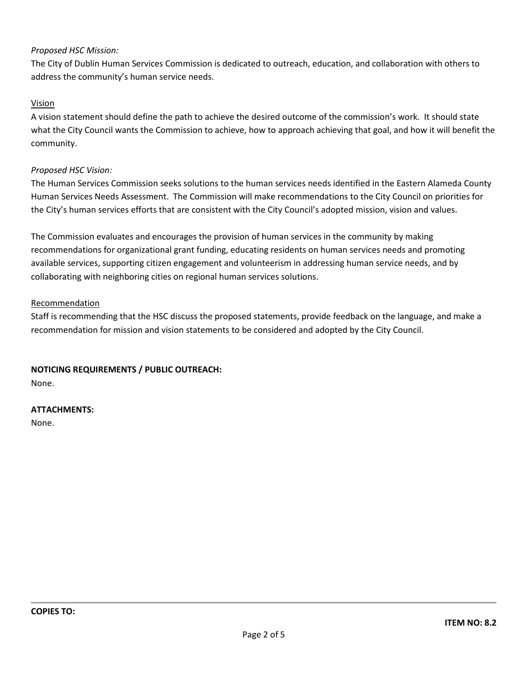#### *Proposed HSC Mission:*

The City of Dublin Human Services Commission is dedicated to outreach, education, and collaboration with others to address the community's human service needs.

#### Vision

A vision statement should define the path to achieve the desired outcome of the commission's work. It should state what the City Council wants the Commission to achieve, how to approach achieving that goal, and how it will benefit the community.

#### *Proposed HSC Vision:*

The Human Services Commission seeks solutions to the human services needs identified in the Eastern Alameda County Human Services Needs Assessment. The Commission will make recommendations to the City Council on priorities for the City's human services efforts that are consistent with the City Council's adopted mission, vision and values.

The Commission evaluates and encourages the provision of human services in the community by making recommendations for organizational grant funding, educating residents on human services needs and promoting available services, supporting citizen engagement and volunteerism in addressing human service needs, and by collaborating with neighboring cities on regional human services solutions.

#### **Recommendation**

Staff is recommending that the HSC discuss the proposed statements, provide feedback on the language, and make a recommendation for mission and vision statements to be considered and adopted by the City Council.

#### **NOTICING REQUIREMENTS / PUBLIC OUTREACH:**

None.

#### **ATTACHMENTS:**

None.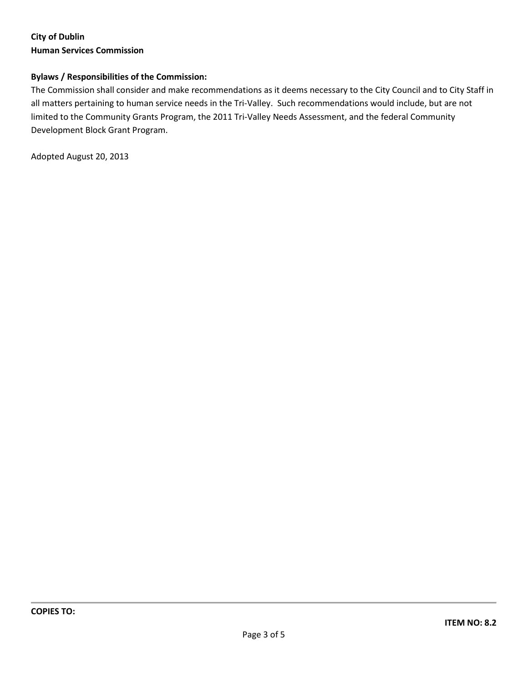## **City of Dublin Human Services Commission**

#### **Bylaws / Responsibilities of the Commission:**

The Commission shall consider and make recommendations as it deems necessary to the City Council and to City Staff in all matters pertaining to human service needs in the Tri-Valley. Such recommendations would include, but are not limited to the Community Grants Program, the 2011 Tri-Valley Needs Assessment, and the federal Community Development Block Grant Program.

Adopted August 20, 2013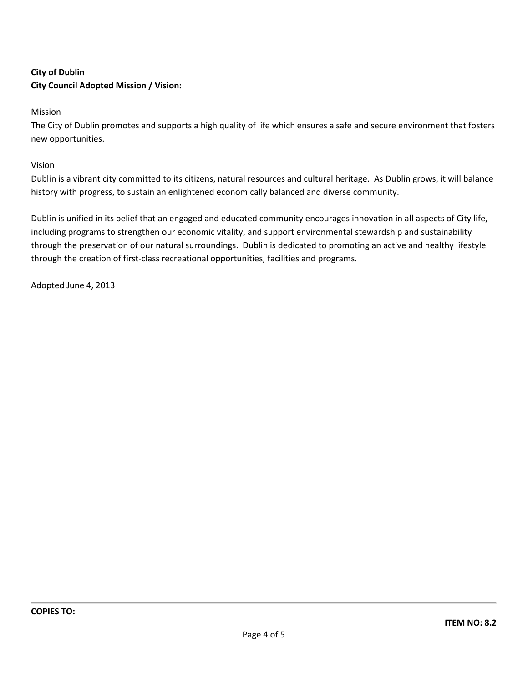## **City of Dublin City Council Adopted Mission / Vision:**

Mission

The City of Dublin promotes and supports a high quality of life which ensures a safe and secure environment that fosters new opportunities.

Vision

Dublin is a vibrant city committed to its citizens, natural resources and cultural heritage. As Dublin grows, it will balance history with progress, to sustain an enlightened economically balanced and diverse community.

Dublin is unified in its belief that an engaged and educated community encourages innovation in all aspects of City life, including programs to strengthen our economic vitality, and support environmental stewardship and sustainability through the preservation of our natural surroundings. Dublin is dedicated to promoting an active and healthy lifestyle through the creation of first-class recreational opportunities, facilities and programs.

Adopted June 4, 2013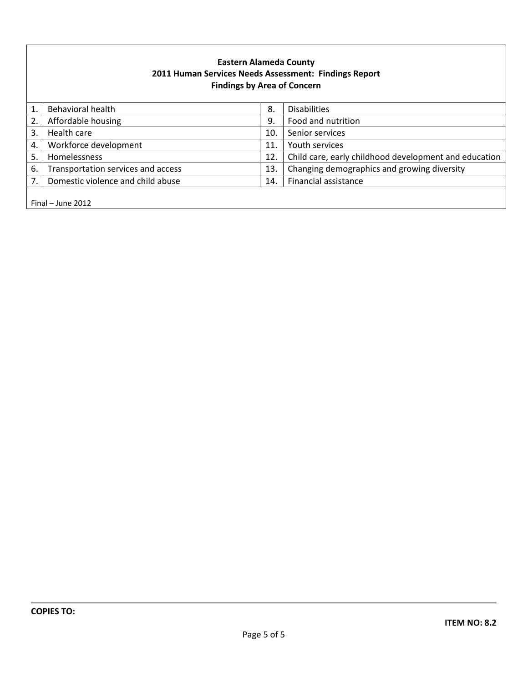### **Eastern Alameda County 2011 Human Services Needs Assessment: Findings Report Findings by Area of Concern**

|                     | <b>Behavioral health</b>           | 8.  | <b>Disabilities</b>                                   |
|---------------------|------------------------------------|-----|-------------------------------------------------------|
| 2.                  | Affordable housing                 | 9.  | Food and nutrition                                    |
| 3.                  | Health care                        | 10. | Senior services                                       |
| 4.                  | Workforce development              | 11  | Youth services                                        |
| 5.                  | Homelessness                       | 12. | Child care, early childhood development and education |
| 6.                  | Transportation services and access | 13  | Changing demographics and growing diversity           |
| 7.                  | Domestic violence and child abuse  | 14. | Financial assistance                                  |
|                     |                                    |     |                                                       |
| Final $-$ June 2012 |                                    |     |                                                       |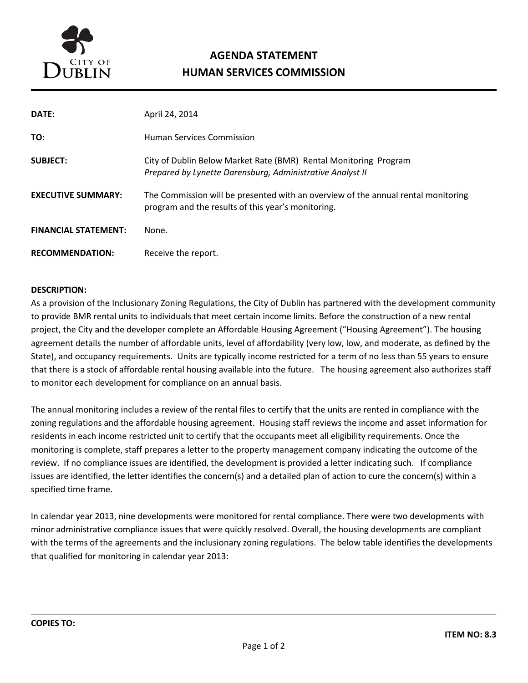

# **AGENDA STATEMENT HUMAN SERVICES COMMISSION**

| DATE:                       | April 24, 2014                                                                                                                          |
|-----------------------------|-----------------------------------------------------------------------------------------------------------------------------------------|
| TO:                         | <b>Human Services Commission</b>                                                                                                        |
| <b>SUBJECT:</b>             | City of Dublin Below Market Rate (BMR) Rental Monitoring Program<br>Prepared by Lynette Darensburg, Administrative Analyst II           |
| <b>EXECUTIVE SUMMARY:</b>   | The Commission will be presented with an overview of the annual rental monitoring<br>program and the results of this year's monitoring. |
| <b>FINANCIAL STATEMENT:</b> | None.                                                                                                                                   |
| <b>RECOMMENDATION:</b>      | Receive the report.                                                                                                                     |

#### **DESCRIPTION:**

As a provision of the Inclusionary Zoning Regulations, the City of Dublin has partnered with the development community to provide BMR rental units to individuals that meet certain income limits. Before the construction of a new rental project, the City and the developer complete an Affordable Housing Agreement ("Housing Agreement"). The housing agreement details the number of affordable units, level of affordability (very low, low, and moderate, as defined by the State), and occupancy requirements. Units are typically income restricted for a term of no less than 55 years to ensure that there is a stock of affordable rental housing available into the future. The housing agreement also authorizes staff to monitor each development for compliance on an annual basis.

The annual monitoring includes a review of the rental files to certify that the units are rented in compliance with the zoning regulations and the affordable housing agreement. Housing staff reviews the income and asset information for residents in each income restricted unit to certify that the occupants meet all eligibility requirements. Once the monitoring is complete, staff prepares a letter to the property management company indicating the outcome of the review. If no compliance issues are identified, the development is provided a letter indicating such. If compliance issues are identified, the letter identifies the concern(s) and a detailed plan of action to cure the concern(s) within a specified time frame.

In calendar year 2013, nine developments were monitored for rental compliance. There were two developments with minor administrative compliance issues that were quickly resolved. Overall, the housing developments are compliant with the terms of the agreements and the inclusionary zoning regulations. The below table identifies the developments that qualified for monitoring in calendar year 2013: